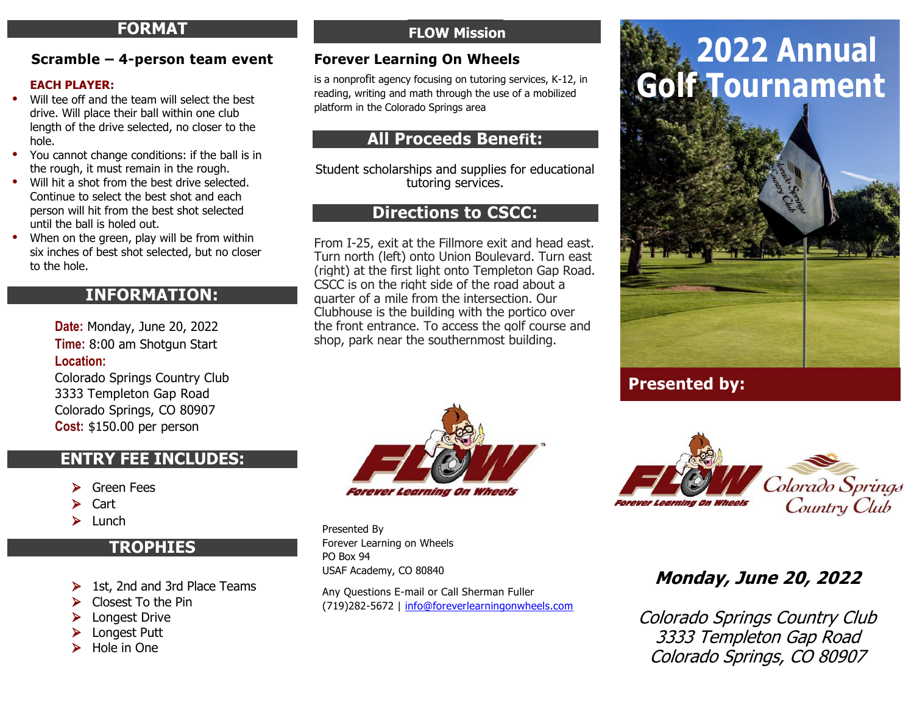#### **FORMAT FORMAT FORMAT FORMAT**

#### **Scramble – 4-person team event Scramble – 4-person team event Scramble – 4-person team event Scramble – 4-person team event**

#### **EACH PLAYER: EACH PLAYER: EACH PLAYER: EACH PLAYER:**

- Will tee off and the team will select the best Will tee off and the team will select the best Will tee off and the team will select the best Will tee off and the team will select the best drive. Will place their ball within one club drive. Will place their ball within one club drive. Will place their ball within one club drive. Will place their ball within one club length of the drive selected, no closer to the length of the drive selected, no closer to the length of the drive selected, no closer to the length of the drive selected, no closer to the hole. hole. hole. hole.
- You cannot change conditions: if the ball is in You cannot change conditions: if the ball is in You cannot change conditions: if the ball is in You cannot change conditions: if the ball is in the rough, it must remain in the rough. the rough, it must remain in the rough. the rough, it must remain in the rough. the rough, it must remain in the rough.
- Will hit a shot from the best drive selected. Will hit a shot from the best drive selected. Will hit a shot from the best drive selected. Will hit a shot from the best drive selected. Continue to select the best shot and each Continue to select the best shot and each Continue to select the best shot and each Continue to select the best shot and each person will hit from the best shot selected person will hit from the best shot selected person will hit from the best shot selected person will hit from the best shot selected until the ball is holed out. until the ball is holed out. until the ball is holed out. until the ball is holed out.
- When on the green, play will be from within When on the green, play will be from within When on the green, play will be from within When on the green, play will be from within six inches of best shot selected, but no closer six inches of best shot selected, but no closer six inches of best shot selected, but no closer six inches of best shot selected, but no closer to the hole. to the hole. to the hole. to the hole.

#### **INFORMATION: INFORMATION: INFORMATION: INFORMATION:**

**Date:** Monday, June 20, 2022 **Date:** Monday, June 20, 2022 **Date:** Monday, June 20, 2022 **Date:** Monday, June 21, 2021 **Time:** 8:00 am Shotgun Start **Time:** 8:00 am Shotgun Start **Time:** 8:00 am Shotgun Start **Time:** 8:00 am Shotgun Start **Location: Location: Location: Location:**

Colorado Springs Country Club Colorado Springs Country Club Colorado Springs Country Club Colorado Springs Country Club 3333 Templeton Gap Road 3333 Templeton Gap Road 3333 Templeton Gap Road 3333 Templeton Gap Road Colorado Springs, CO 80907 Colorado Springs, CO 80907 Colorado Springs, CO 80907 Colorado Springs, CO 80907 **Cost:** \$150.00 per person **Cost:** \$150.00 per person **Cost:** \$150.00 per person **Cost:** \$125.00 per person

#### **ENTRY FEE INCLUDES: ENTRY FEE INCLUDES: ENTRY FEE INCLUDES: ENTRY FEE INCLUDES:**

- Green Fees Green Fees Green Fees Green Fees
- Cart Cart Cart Cart
- Lunch Lunch Lunch Lunch

## **TROPHIES TROPHIES TROPHIES TROPHIES**

- 1st, 2nd and 3rd Place Teams 1st, 2nd and 3rd Place Teams 1st, 2nd and 3rd Place Teams 1st, 2nd and 3rd Place Teams
- Closest To the Pin Closest To the Pin Closest To the Pin Closest To the Pin
- Longest Drive Longest Drive Longest Drive Longest Drive
- Longest Putt Longest Putt Longest Putt Longest Putt
- Hole in One Hole in One Hole in One Hole in One

# **FLOW Mission FLOW Mission FLOW Mission FLOW Mission FLOW Mission FLOW Mission FLOW Mission FLOW Mission**

#### **Forever Learning On Wheels Forever Learning On Wheels Forever Learning On Wheels Forever Learning On Wheels**

is a nonprofit agency focusing on tutoring services, K-12, in reading, writing and math through the use of a mobilized platform in the Colorado Springs area platform in the Colorado Springs area platform in the Colorado Springs area platform in the Colorado Springs area

# **All Proceeds Benefit: All Proceeds Benefit: All Proceeds Benefit: All Proceeds Benefit:**

Student scholarships and supplies for educational Student scholarships and supplies for educational Student scholarships and supplies for educational Student scholarships and supplies for educational tutoring services. tutoring services. tutoring services. tutoring services.

## **Directions to CSCC: Directions to CSCC: Directions to CSCC: Directions to CSCC:**

From I-25, exit at the Fillmore exit and head east. From I-25, exit at the Fillmore exit and head east. From I-25, exit at the Fillmore exit and head east. From I-25, exit at the Fillmore exit and head east. Turn north (left) onto Union Boulevard. Turn east Turn north (left) onto Union Boulevard. Turn east Turn north (left) onto Union Boulevard. Turn east Turn north (left) onto Union Boulevard. Turn east (right) at the first light onto Templeton Gap Road. (right) at the first light onto Templeton Gap Road. (right) at the first light onto Templeton Gap Road. (right) at the first light onto Templeton Gap Road. CSCC is on the right side of the road about a CSCC is on the right side of the road about a CSCC is on the right side of the road about a CSCC is on the right side of the road about a quarter of a mile from the intersection. Our quarter of a mile from the intersection. Our quarter of a mile from the intersection. Our quarter of a mile from the intersection. Our Clubhouse is the building with the portico over Clubhouse is the building with the portico over Clubhouse is the building with the portico over Clubhouse is the building with the portico over the front entrance. To access the golf course and the front entrance. To access the golf course and the front entrance. To access the golf course and the front entrance. To access the golf course and shop, park near the southernmost building. shop, park near the southernmost building. shop, park near the southernmost building. shop, park near the southernmost building.



Presented By Presented By Presented By Presented By Forever Learning on Wheels Forever Learning on Wheels Forever Learning on Wheels Forever Learning on Wheels PO Box 94 PO Box 94 PO Box 94 PO Box 94 USAF Academy, CO 80840 USAF Academy, CO 80840 USAF Academy, CO 80840 USAF Academy, CO 80840

Any Questions E-mail or Call Sherman Fuller Any Questions E-mail or Call Sherman Fuller Any Questions E-mail or Call Sherman Fuller Any Questions E-mail or Call Sherman Fuller (719)282-5672 | info@foreverlearningonwheels.com (719)282-5672 | info@foreverlearningonwheels.com (719)282-5672 | info@foreverlearningonwheels.com (719)282-5672 | info@foreverlearningonwheels.com

# **Golf Tournament Golf Tournament Golf Tournament Golf Tournament 2022 Annual 2022 Annual 2022 Annual 2021 Annual**



# **Presented by: Presented by: Presented by: Presented by:**



# **Monday, June 20, 2022 Monday, June 20, 2022 Monday, June 20, 2022 Monday, June 21, 2021**

Colorado Springs Country Club Colorado Springs Country Club Colorado Springs Country Club Colorado Springs Country Club 3333 Templeton Gap Road 3333 Templeton Gap Road 3333 Templeton Gap Road 3333 Templeton Gap Road Colorado Springs, CO 80907 Colorado Springs, CO 80907 Colorado Springs, CO 80907 Colorado Springs, CO 80907